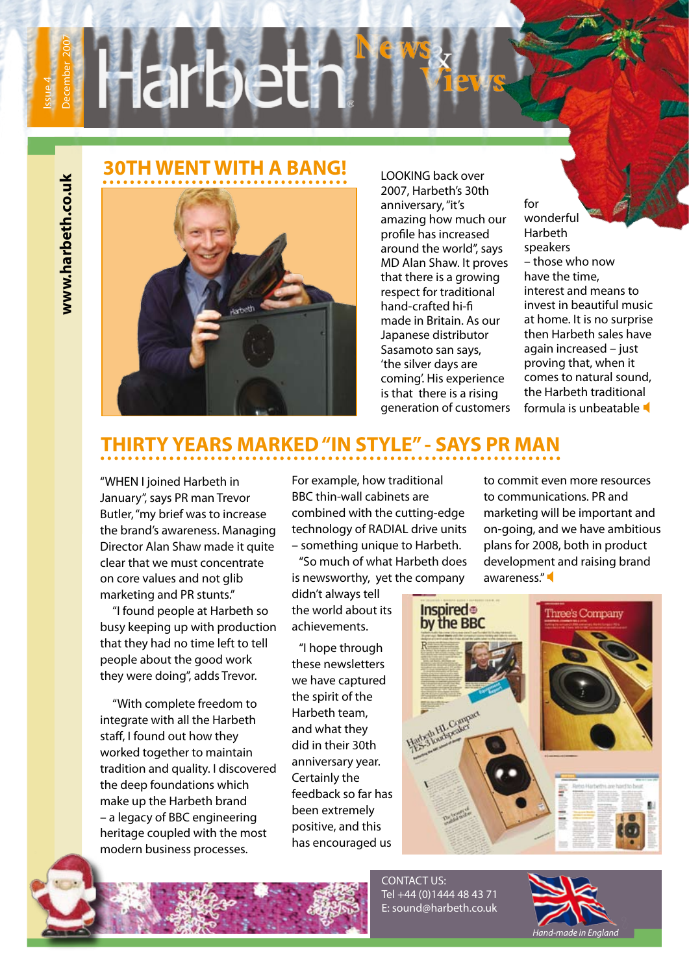**www.harbeth.co.uk**

www.harbeth.co.uk

### **30TH WENT WITH A BANG!**



LOOKING back over 2007, Harbeth's 30th anniversary, "it's amazing how much our profile has increased around the world", says MD Alan Shaw. It proves that there is a growing respect for traditional hand-crafted hi-fi made in Britain. As our Japanese distributor Sasamoto san says, 'the silver days are coming'. His experience is that there is a rising generation of customers

for wonderful Harbeth speakers – those who now have the time, interest and means to invest in beautiful music at home. It is no surprise then Harbeth sales have again increased – just proving that, when it comes to natural sound, the Harbeth traditional formula is unbeatable

# **THIRTY YEARS MARKED "IN STYLE" - SAYS PR MAN**

"WHEN I joined Harbeth in January", says PR man Trevor Butler, "my brief was to increase the brand's awareness. Managing Director Alan Shaw made it quite clear that we must concentrate on core values and not glib marketing and PR stunts."

 "I found people at Harbeth so busy keeping up with production that they had no time left to tell people about the good work they were doing", adds Trevor.

 "With complete freedom to integrate with all the Harbeth staff, I found out how they worked together to maintain tradition and quality. I discovered the deep foundations which make up the Harbeth brand – a legacy of BBC engineering heritage coupled with the most modern business processes.

For example, how traditional BBC thin-wall cabinets are combined with the cutting-edge technology of RADIAL drive units – something unique to Harbeth.

 "So much of what Harbeth does is newsworthy, yet the company

didn't always tell the world about its achievements.

 "I hope through these newsletters we have captured the spirit of the Harbeth team, and what they did in their 30th anniversary year. Certainly the feedback so far has been extremely positive, and this has encouraged us

to commit even more resources to communications. PR and marketing will be important and on-going, and we have ambitious plans for 2008, both in product development and raising brand awareness."





CONTACT US: Tel +44 (0)1444 48 43 71 E: sound@harbeth.co.uk